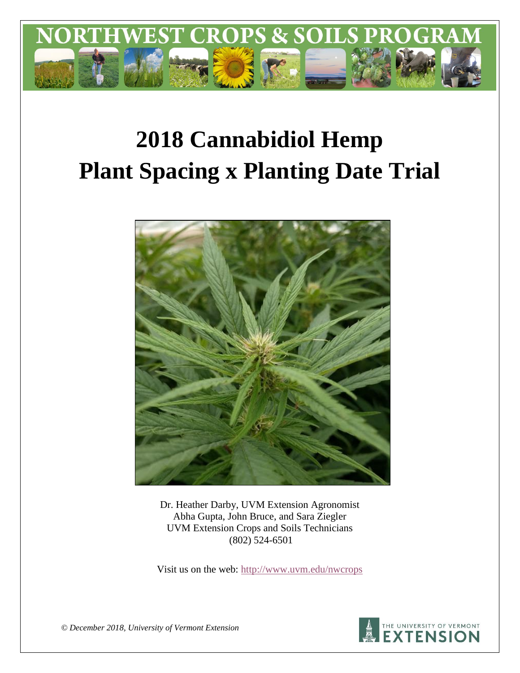

# **2018 Cannabidiol Hemp Plant Spacing x Planting Date Trial**



Dr. Heather Darby, UVM Extension Agronomist Abha Gupta, John Bruce, and Sara Ziegler UVM Extension Crops and Soils Technicians (802) 524-6501

Visit us on the web:<http://www.uvm.edu/nwcrops>



*© December 2018, University of Vermont Extension*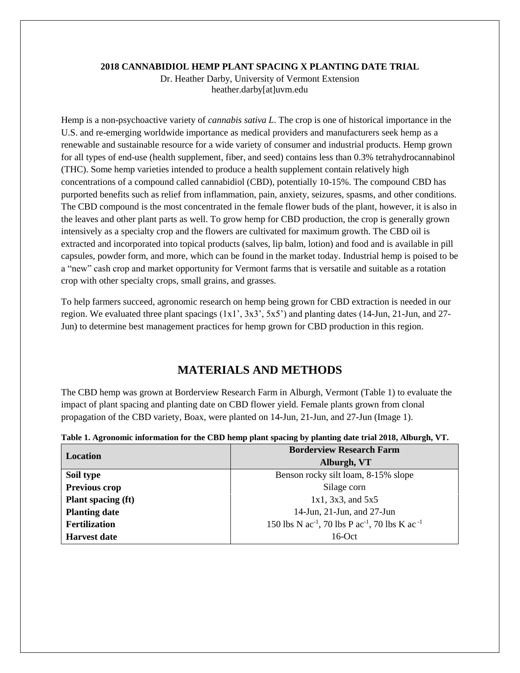#### **2018 CANNABIDIOL HEMP PLANT SPACING X PLANTING DATE TRIAL**

Dr. Heather Darby, University of Vermont Extension heather.darby[at]uvm.edu

Hemp is a non-psychoactive variety of *cannabis sativa L*. The crop is one of historical importance in the U.S. and re-emerging worldwide importance as medical providers and manufacturers seek hemp as a renewable and sustainable resource for a wide variety of consumer and industrial products. Hemp grown for all types of end-use (health supplement, fiber, and seed) contains less than 0.3% tetrahydrocannabinol (THC). Some hemp varieties intended to produce a health supplement contain relatively high concentrations of a compound called cannabidiol (CBD), potentially 10-15%. The compound CBD has purported benefits such as relief from inflammation, pain, anxiety, seizures, spasms, and other conditions. The CBD compound is the most concentrated in the female flower buds of the plant, however, it is also in the leaves and other plant parts as well. To grow hemp for CBD production, the crop is generally grown intensively as a specialty crop and the flowers are cultivated for maximum growth. The CBD oil is extracted and incorporated into topical products (salves, lip balm, lotion) and food and is available in pill capsules, powder form, and more, which can be found in the market today. Industrial hemp is poised to be a "new" cash crop and market opportunity for Vermont farms that is versatile and suitable as a rotation crop with other specialty crops, small grains, and grasses.

To help farmers succeed, agronomic research on hemp being grown for CBD extraction is needed in our region. We evaluated three plant spacings (1x1', 3x3', 5x5') and planting dates (14-Jun, 21-Jun, and 27- Jun) to determine best management practices for hemp grown for CBD production in this region.

## **MATERIALS AND METHODS**

The CBD hemp was grown at Borderview Research Farm in Alburgh, Vermont (Table 1) to evaluate the impact of plant spacing and planting date on CBD flower yield. Female plants grown from clonal propagation of the CBD variety, Boax, were planted on 14-Jun, 21-Jun, and 27-Jun (Image 1).

|                           | <b>Borderview Research Farm</b>                                                    |  |  |
|---------------------------|------------------------------------------------------------------------------------|--|--|
| Location                  | Alburgh, VT                                                                        |  |  |
| Soil type                 | Benson rocky silt loam, 8-15% slope                                                |  |  |
| Previous crop             | Silage corn                                                                        |  |  |
| <b>Plant spacing (ft)</b> | $1x1, 3x3,$ and $5x5$                                                              |  |  |
| <b>Planting date</b>      | 14-Jun, 21-Jun, and 27-Jun                                                         |  |  |
| <b>Fertilization</b>      | 150 lbs N ac <sup>-1</sup> , 70 lbs P ac <sup>-1</sup> , 70 lbs K ac <sup>-1</sup> |  |  |
| <b>Harvest date</b>       | $16$ -Oct                                                                          |  |  |

**Table 1. Agronomic information for the CBD hemp plant spacing by planting date trial 2018, Alburgh, VT.**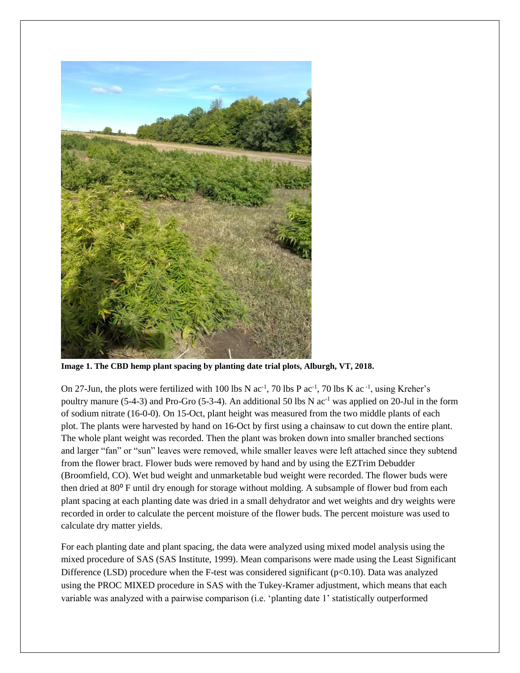

**Image 1. The CBD hemp plant spacing by planting date trial plots, Alburgh, VT, 2018.**

On 27-Jun, the plots were fertilized with 100 lbs N  $ac^{-1}$ , 70 lbs P  $ac^{-1}$ , 70 lbs K  $ac^{-1}$ , using Kreher's poultry manure (5-4-3) and Pro-Gro (5-3-4). An additional 50 lbs N  $ac^{-1}$  was applied on 20-Jul in the form of sodium nitrate (16-0-0). On 15-Oct, plant height was measured from the two middle plants of each plot. The plants were harvested by hand on 16-Oct by first using a chainsaw to cut down the entire plant. The whole plant weight was recorded. Then the plant was broken down into smaller branched sections and larger "fan" or "sun" leaves were removed, while smaller leaves were left attached since they subtend from the flower bract. Flower buds were removed by hand and by using the EZTrim Debudder (Broomfield, CO). Wet bud weight and unmarketable bud weight were recorded. The flower buds were then dried at  $80^{\circ}$  F until dry enough for storage without molding. A subsample of flower bud from each plant spacing at each planting date was dried in a small dehydrator and wet weights and dry weights were recorded in order to calculate the percent moisture of the flower buds. The percent moisture was used to calculate dry matter yields.

For each planting date and plant spacing, the data were analyzed using mixed model analysis using the mixed procedure of SAS (SAS Institute, 1999). Mean comparisons were made using the Least Significant Difference (LSD) procedure when the F-test was considered significant ( $p<0.10$ ). Data was analyzed using the PROC MIXED procedure in SAS with the Tukey-Kramer adjustment, which means that each variable was analyzed with a pairwise comparison (i.e. 'planting date 1' statistically outperformed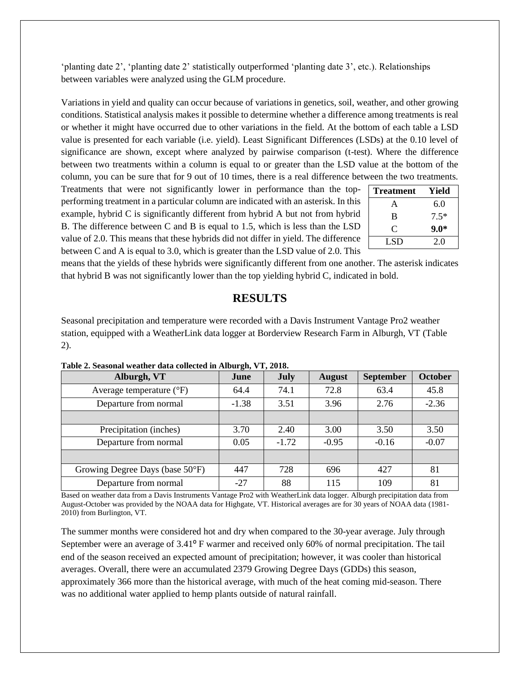'planting date 2', 'planting date 2' statistically outperformed 'planting date 3', etc.). Relationships between variables were analyzed using the GLM procedure.

Variations in yield and quality can occur because of variations in genetics, soil, weather, and other growing conditions. Statistical analysis makes it possible to determine whether a difference among treatments is real or whether it might have occurred due to other variations in the field. At the bottom of each table a LSD value is presented for each variable (i.e. yield). Least Significant Differences (LSDs) at the 0.10 level of significance are shown, except where analyzed by pairwise comparison (t-test). Where the difference between two treatments within a column is equal to or greater than the LSD value at the bottom of the column, you can be sure that for 9 out of 10 times, there is a real difference between the two treatments.

Treatments that were not significantly lower in performance than the topperforming treatment in a particular column are indicated with an asterisk. In this example, hybrid C is significantly different from hybrid A but not from hybrid B. The difference between C and B is equal to 1.5, which is less than the LSD value of 2.0. This means that these hybrids did not differ in yield. The difference between C and A is equal to 3.0, which is greater than the LSD value of 2.0. This

| <b>Treatment</b> | Yield  |
|------------------|--------|
| A                | 6.0    |
| B                | $7.5*$ |
| C                | $9.0*$ |
| LSD.             | 2.0    |

means that the yields of these hybrids were significantly different from one another. The asterisk indicates that hybrid B was not significantly lower than the top yielding hybrid C, indicated in bold.

## **RESULTS**

Seasonal precipitation and temperature were recorded with a Davis Instrument Vantage Pro2 weather station, equipped with a WeatherLink data logger at Borderview Research Farm in Alburgh, VT (Table 2).

| Alburgh, VT                       | $\sim$ $\sim$<br>June | <b>July</b> | <b>August</b> | <b>September</b> | <b>October</b> |
|-----------------------------------|-----------------------|-------------|---------------|------------------|----------------|
| Average temperature $(^{\circ}F)$ | 64.4                  | 74.1        | 72.8          | 63.4             | 45.8           |
| Departure from normal             | $-1.38$               | 3.51        | 3.96          | 2.76             | $-2.36$        |
|                                   |                       |             |               |                  |                |
| Precipitation (inches)            | 3.70                  | 2.40        | 3.00          | 3.50             | 3.50           |
| Departure from normal             | 0.05                  | $-1.72$     | $-0.95$       | $-0.16$          | $-0.07$        |
|                                   |                       |             |               |                  |                |
| Growing Degree Days (base 50°F)   | 447                   | 728         | 696           | 427              | 81             |
| Departure from normal             | $-27$                 | 88          | 115           | 109              | 81             |

**Table 2. Seasonal weather data collected in Alburgh, VT, 2018.**

Based on weather data from a Davis Instruments Vantage Pro2 with WeatherLink data logger. Alburgh precipitation data from August-October was provided by the NOAA data for Highgate, VT. Historical averages are for 30 years of NOAA data (1981- 2010) from Burlington, VT.

The summer months were considered hot and dry when compared to the 30-year average. July through September were an average of 3.41<sup>o</sup> F warmer and received only 60% of normal precipitation. The tail end of the season received an expected amount of precipitation; however, it was cooler than historical averages. Overall, there were an accumulated 2379 Growing Degree Days (GDDs) this season, approximately 366 more than the historical average, with much of the heat coming mid-season. There was no additional water applied to hemp plants outside of natural rainfall.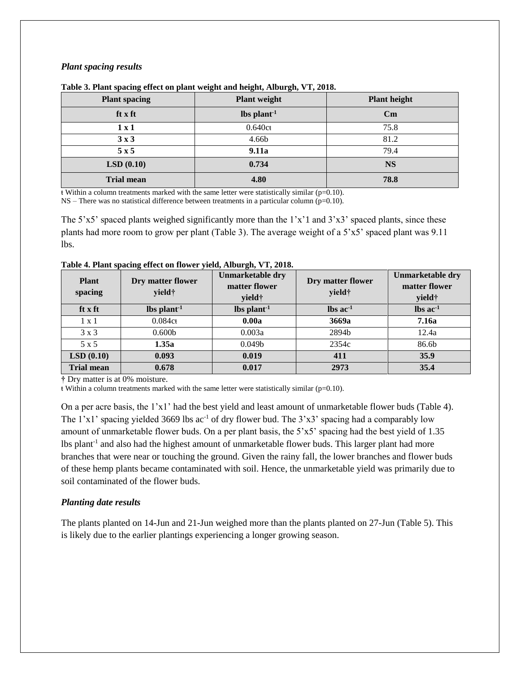#### *Plant spacing results*

| <b>Plant spacing</b> | <b>Plant weight</b> | <b>Plant height</b>    |
|----------------------|---------------------|------------------------|
| ft x ft              | $\ln \frac{1}{1}$   | $\mathbf{C}\mathbf{m}$ |
| $1 \times 1$         | 0.640ct             | 75.8                   |
| 3x3                  | 4.66b               | 81.2                   |
| 5x5                  | 9.11a               | 79.4                   |
| LSD(0.10)            | 0.734               | <b>NS</b>              |
| <b>Trial mean</b>    | 4.80                | 78.8                   |

#### **Table 3. Plant spacing effect on plant weight and height, Alburgh, VT, 2018.**

ŧ Within a column treatments marked with the same letter were statistically similar (p=0.10).

 $NS$  – There was no statistical difference between treatments in a particular column (p=0.10).

The 5'x5' spaced plants weighed significantly more than the  $1'x'1$  and  $3'x3'$  spaced plants, since these plants had more room to grow per plant (Table 3). The average weight of a 5'x5' spaced plant was 9.11 lbs.

| <b>Plant</b><br>spacing | ີ<br>Dry matter flower<br>yield† | Unmarketable dry<br>matter flower<br>yield† | Dry matter flower<br>yield†   | Unmarketable dry<br>matter flower<br>yield† |
|-------------------------|----------------------------------|---------------------------------------------|-------------------------------|---------------------------------------------|
| ft x ft                 | $\ln \sinh^{-1}$                 | $\ln \frac{1}{1}$                           | $\text{lbs}$ ac <sup>-1</sup> | $\text{lbs}$ ac <sup>-1</sup>               |
| $1 \times 1$            | 0.084ct                          | 0.00a                                       | 3669a                         | <b>7.16a</b>                                |
| $3 \times 3$            | 0.600 <sub>b</sub>               | 0.003a                                      | 2894b                         | 12.4a                                       |
| $5 \times 5$            | 1.35a                            | 0.049 <sub>b</sub>                          | 2354c                         | 86.6b                                       |
| LSD(0.10)               | 0.093                            | 0.019                                       | 411                           | 35.9                                        |
| <b>Trial mean</b>       | 0.678                            | 0.017                                       | 2973                          | 35.4                                        |

**Table 4. Plant spacing effect on flower yield, Alburgh, VT, 2018.** 

**†** Dry matter is at 0% moisture.

 $\frac{1}{2}$  Within a column treatments marked with the same letter were statistically similar (p=0.10).

On a per acre basis, the 1'x1' had the best yield and least amount of unmarketable flower buds (Table 4). The  $1'x1'$  spacing yielded 3669 lbs ac<sup>-1</sup> of dry flower bud. The  $3'x3'$  spacing had a comparably low amount of unmarketable flower buds. On a per plant basis, the 5'x5' spacing had the best yield of 1.35 lbs plant<sup>-1</sup> and also had the highest amount of unmarketable flower buds. This larger plant had more branches that were near or touching the ground. Given the rainy fall, the lower branches and flower buds of these hemp plants became contaminated with soil. Hence, the unmarketable yield was primarily due to soil contaminated of the flower buds.

#### *Planting date results*

The plants planted on 14-Jun and 21-Jun weighed more than the plants planted on 27-Jun (Table 5). This is likely due to the earlier plantings experiencing a longer growing season.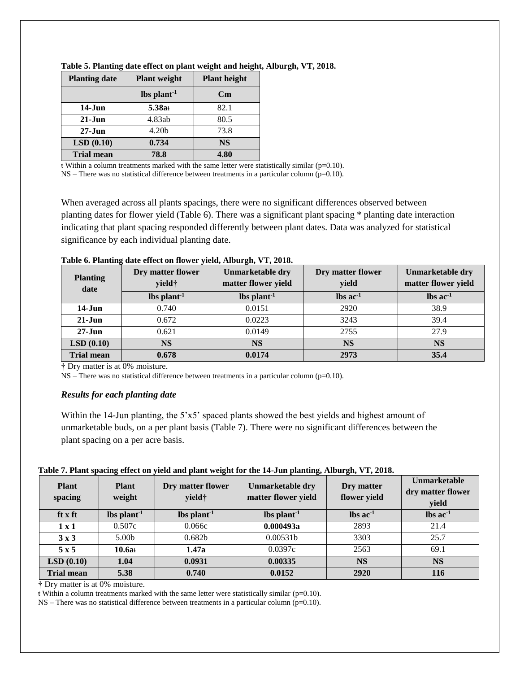| <b>Planting date</b> | <b>Plant</b> weight | <b>Plant height</b>    |
|----------------------|---------------------|------------------------|
|                      | $\ln \frac{1}{1}$   | $\mathbf{C}\mathbf{m}$ |
| $14-J$ un            | 5.38at              | 82.1                   |
| $21 - Jun$           | 4.83ab              | 80.5                   |
| $27 - Jun$           | 4.20 <sub>b</sub>   | 73.8                   |
| LSD(0.10)            | 0.734               | <b>NS</b>              |
| <b>Trial mean</b>    | 78.8                | 4.80                   |

**Table 5. Planting date effect on plant weight and height, Alburgh, VT, 2018.** 

 $\frac{1}{k}$  Within a column treatments marked with the same letter were statistically similar (p=0.10).

 $NS$  – There was no statistical difference between treatments in a particular column ( $p=0.10$ ).

When averaged across all plants spacings, there were no significant differences observed between planting dates for flower yield (Table 6). There was a significant plant spacing \* planting date interaction indicating that plant spacing responded differently between plant dates. Data was analyzed for statistical significance by each individual planting date.

| <b>Planting</b><br>date | Dry matter flower<br>yield† | Unmarketable dry<br>matter flower yield | Dry matter flower<br>yield | <b>Unmarketable dry</b><br>matter flower yield |
|-------------------------|-----------------------------|-----------------------------------------|----------------------------|------------------------------------------------|
|                         | $\ln \frac{1}{1}$           | lbs plant <sup>1</sup>                  | $\ln$ s ac <sup>-1</sup>   | $\ln$ ac <sup>1</sup>                          |
| $14-Jun$                | 0.740                       | 0.0151                                  | 2920                       | 38.9                                           |
| $21-Jun$                | 0.672                       | 0.0223                                  | 3243                       | 39.4                                           |
| $27 - Jun$              | 0.621                       | 0.0149                                  | 2755                       | 27.9                                           |
| LSD(0.10)               | <b>NS</b>                   | <b>NS</b>                               | <b>NS</b>                  | <b>NS</b>                                      |
| <b>Trial mean</b>       | 0.678                       | 0.0174                                  | 2973                       | 35.4                                           |

**Table 6. Planting date effect on flower yield, Alburgh, VT, 2018.** 

**†** Dry matter is at 0% moisture.

 $NS$  – There was no statistical difference between treatments in a particular column ( $p=0.10$ ).

#### *Results for each planting date*

Within the 14-Jun planting, the 5'x5' spaced plants showed the best yields and highest amount of unmarketable buds, on a per plant basis (Table 7). There were no significant differences between the plant spacing on a per acre basis.

| Table 7. Plant spacing effect on yield and plant weight for the 14-Jun planting, Alburgh, VT, 2018. |  |  |  |
|-----------------------------------------------------------------------------------------------------|--|--|--|
|                                                                                                     |  |  |  |
|                                                                                                     |  |  |  |
|                                                                                                     |  |  |  |

| <b>Plant</b><br>spacing | <b>Plant</b><br>weight | Dry matter flower<br>yield† | <b>Unmarketable dry</b><br>matter flower yield | Dry matter<br>flower yield | Unmarketable<br>dry matter flower<br>yield |
|-------------------------|------------------------|-----------------------------|------------------------------------------------|----------------------------|--------------------------------------------|
| ft x ft                 | $\ln \frac{1}{2}$      | $\ln \frac{1}{1}$           | $\ln \frac{1}{1}$                              | $\ln$ s ac <sup>-1</sup>   | $\text{lbs}$ ac <sup>1</sup>               |
| $1 \times 1$            | 0.507c                 | 0.066c                      | 0.000493a                                      | 2893                       | 21.4                                       |
| 3x3                     | 5.00 <sub>b</sub>      | 0.682 <sub>b</sub>          | 0.00531b                                       | 3303                       | 25.7                                       |
| 5x5                     | 10.6at                 | 1.47a                       | 0.0397c                                        | 2563                       | 69.1                                       |
| LSD(0.10)               | 1.04                   | 0.0931                      | 0.00335                                        | <b>NS</b>                  | <b>NS</b>                                  |
| <b>Trial mean</b>       | 5.38                   | 0.740                       | 0.0152                                         | 2920                       | 116                                        |

**†** Dry matter is at 0% moisture.

 $\frac{1}{2}$  Within a column treatments marked with the same letter were statistically similar (p=0.10).

 $NS$  – There was no statistical difference between treatments in a particular column ( $p=0.10$ ).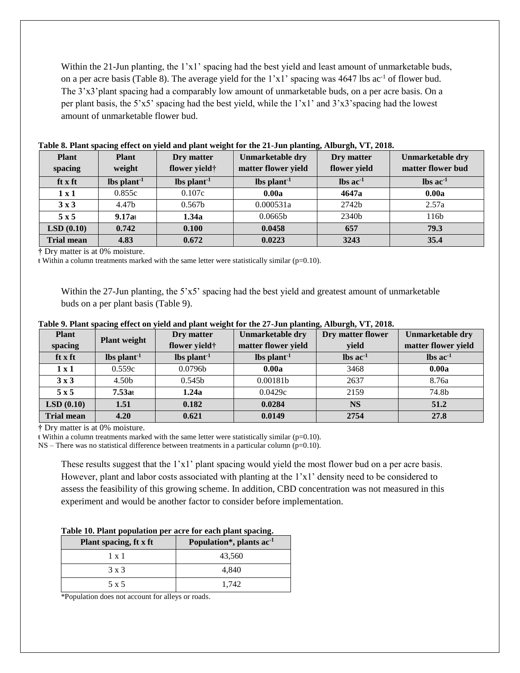Within the 21-Jun planting, the 1'x1' spacing had the best yield and least amount of unmarketable buds, on a per acre basis (Table 8). The average yield for the 1'x1' spacing was 4647 lbs ac<sup>-1</sup> of flower bud. The 3'x3'plant spacing had a comparably low amount of unmarketable buds, on a per acre basis. On a per plant basis, the 5'x5' spacing had the best yield, while the 1'x1' and 3'x3'spacing had the lowest amount of unmarketable flower bud.

| <b>Plant</b><br>spacing | <b>Plant</b><br>weight | Dry matter<br>flower yield† | <b>Unmarketable dry</b><br>matter flower yield | Dry matter<br>flower yield    | <b>Unmarketable dry</b><br>matter flower bud |
|-------------------------|------------------------|-----------------------------|------------------------------------------------|-------------------------------|----------------------------------------------|
| ft x ft                 | $\ln \frac{1}{2}$      | $\ln \frac{1}{2}$           | $\ln \frac{1}{1}$                              | $\text{lbs}$ ac <sup>-1</sup> | $\ln$ ac <sup>1</sup>                        |
| 1x1                     | 0.855c                 | 0.107c                      | 0.00a                                          | 4647a                         | 0.00a                                        |
| $3 \times 3$            | 4.47b                  | 0.567 <sub>b</sub>          | 0.000531a                                      | 2742b                         | 2.57a                                        |
| 5x5                     | $9.17a$ t              | 1.34a                       | 0.0665 <sub>b</sub>                            | 2340b                         | 116b                                         |
| LSD(0.10)               | 0.742                  | 0.100                       | 0.0458                                         | 657                           | 79.3                                         |
| <b>Trial mean</b>       | 4.83                   | 0.672                       | 0.0223                                         | 3243                          | 35.4                                         |

| Table 8. Plant spacing effect on yield and plant weight for the 21-Jun planting, Alburgh, VT, 2018. |
|-----------------------------------------------------------------------------------------------------|
|-----------------------------------------------------------------------------------------------------|

**†** Dry matter is at 0% moisture.

ŧ Within a column treatments marked with the same letter were statistically similar (p=0.10).

Within the 27-Jun planting, the 5'x5' spacing had the best yield and greatest amount of unmarketable buds on a per plant basis (Table 9).

|  |  | Table 9. Plant spacing effect on yield and plant weight for the 27-Jun planting, Alburgh, VT, 2018. |
|--|--|-----------------------------------------------------------------------------------------------------|
|  |  |                                                                                                     |

| <b>Plant</b>      | <b>Plant weight</b> | Dry matter                | Unmarketable dry    | Dry matter flower      | Unmarketable dry         |
|-------------------|---------------------|---------------------------|---------------------|------------------------|--------------------------|
| spacing           |                     | flower yield <sup>†</sup> | matter flower yield | yield                  | matter flower yield      |
| ft x ft           | $\ln \frac{1}{1}$   | $\ln \frac{1}{1}$         | $\ln \frac{1}{2}$   | $\ln$ ac <sup>-1</sup> | $\ln$ s ac <sup>-1</sup> |
| 1 x 1             | 0.559c              | 0.0796b                   | 0.00a               | 3468                   | 0.00a                    |
| 3x3               | 4.50 <sub>b</sub>   | 0.545 <sub>b</sub>        | 0.00181b            | 2637                   | 8.76a                    |
| 5x5               | 7.53at              | 1.24a                     | 0.0429c             | 2159                   | 74.8b                    |
| LSD(0.10)         | 1.51                | 0.182                     | 0.0284              | <b>NS</b>              | 51.2                     |
| <b>Trial mean</b> | 4.20                | 0.621                     | 0.0149              | 2754                   | 27.8                     |

**†** Dry matter is at 0% moisture.

 $\frac{1}{\epsilon}$  Within a column treatments marked with the same letter were statistically similar (p=0.10).

 $NS$  – There was no statistical difference between treatments in a particular column ( $p=0.10$ ).

These results suggest that the 1'x1' plant spacing would yield the most flower bud on a per acre basis. However, plant and labor costs associated with planting at the 1'x1' density need to be considered to assess the feasibility of this growing scheme. In addition, CBD concentration was not measured in this experiment and would be another factor to consider before implementation.

| Table 10. Plant population per acre for each plant spacing. |  |  |  |  |
|-------------------------------------------------------------|--|--|--|--|
|-------------------------------------------------------------|--|--|--|--|

| Plant spacing, ft x ft | Population <sup>*</sup> , plants ac <sup>1</sup> |
|------------------------|--------------------------------------------------|
| $1 \times 1$           | 43,560                                           |
| $3 \times 3$           | 4.840                                            |
| 5 x 5                  | 1.742                                            |

\*Population does not account for alleys or roads.